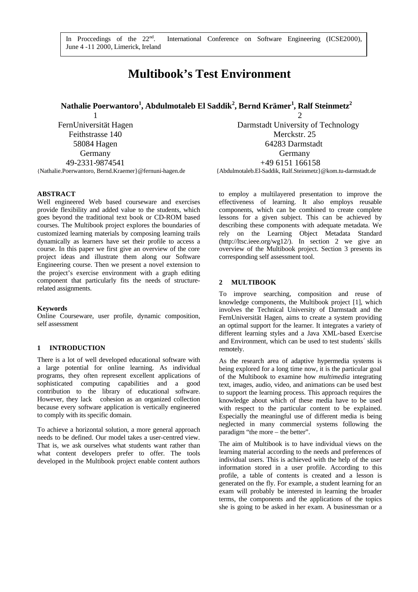In Proccedings of the  $22<sup>nd</sup>$ . June 4 -11 2000, Limerick, Ireland

# **Multibook's Test Environment**

 **Nathalie Poerwantoro<sup>1</sup> , Abdulmotaleb El Saddik<sup>2</sup> , Bernd Krämer<sup>1</sup> , Ralf Steinmetz<sup>2</sup>**

FernUniversität Hagen Darmstadt University of Technology Feithstrasse 140 Merckstr. 25 58084 Hagen 64283 Darmstadt Germany Germany 49-2331-9874541<br>
{Nathalie.Poerwantoro, Bernd.Kraemer} @fernuni-hagen.de {Nathalie.Poerwantoro, Bernd.Kraemer} @fernuni-hagen.de {Abdulmotaleb.El-Saddik, Ralf.Steinmetz}

1 2 {Abdulmotaleb.El-Saddik, Ralf.Steinmetz}@kom.tu-darmstadt.de

## **ABSTRACT**

Well engineered Web based courseware and exercises provide flexibility and added value to the students, which goes beyond the traditional text book or CD-ROM based courses. The Multibook project explores the boundaries of customized learning materials by composing learning trails dynamically as learners have set their profile to access a course. In this paper we first give an overview of the core project ideas and illustrate them along our Software Engineering course. Then we present a novel extension to the project's exercise environment with a graph editing component that particularly fits the needs of structurerelated assignments.

#### **Keywords**

Online Courseware, user profile, dynamic composition, self assessment

## **1 INTRODUCTION**

There is a lot of well developed educational software with a large potential for online learning. As individual programs, they often represent excellent applications of sophisticated computing capabilities and a good contribution to the library of educational software. However, they lack cohesion as an organized collection because every software application is vertically engineered to comply with its specific domain.

To achieve a horizontal solution, a more general approach needs to be defined. Our model takes a user-centred view. That is, we ask ourselves what students want rather than what content developers prefer to offer. The tools developed in the Multibook project enable content authors

to employ a multilayered presentation to improve the effectiveness of learning. It also employs reusable components, which can be combined to create complete lessons for a given subject. This can be achieved by describing these components with adequate metadata. We rely on the Learning Object Metadata Standard (http://ltsc.ieee.org/wg12/). In section 2 we give an overview of the Multibook project. Section 3 presents its corresponding self assessment tool.

## **2 MULTIBOOK**

To improve searching, composition and reuse of knowledge components, the Multibook project [1], which involves the Technical University of Darmstadt and the FernUniversität Hagen, aims to create a system providing an optimal support for the learner. It integrates a variety of different learning styles and a Java XML-based Exercise and Environment, which can be used to test students´ skills remotely.

As the research area of adaptive hypermedia systems is being explored for a long time now, it is the particular goal of the Multibook to examine how *multimedia* integrating text, images, audio, video, and animations can be used best to support the learning process. This approach requires the knowledge about which of these media have to be used with respect to the particular content to be explained. Especially the meaningful use of different media is being neglected in many commercial systems following the paradigm "the more – the better".

The aim of Multibook is to have individual views on the learning material according to the needs and preferences of individual users. This is achieved with the help of the user information stored in a user profile. According to this profile, a table of contents is created and a lesson is generated on the fly. For example, a student learning for an exam will probably be interested in learning the broader terms, the components and the applications of the topics she is going to be asked in her exam. A businessman or a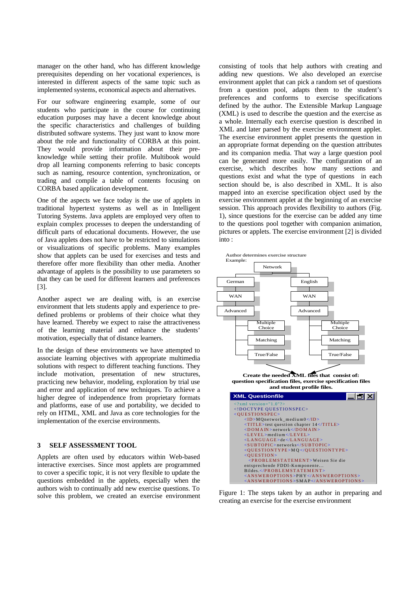manager on the other hand, who has different knowledge prerequisites depending on her vocational experiences, is interested in different aspects of the same topic such as implemented systems, economical aspects and alternatives.

For our software engineering example, some of our students who participate in the course for continuing education purposes may have a decent knowledge about the specific characteristics and challenges of building distributed software systems. They just want to know more about the role and functionality of CORBA at this point. They would provide information about their preknowledge while setting their profile. Multibook would drop all learning components referring to basic concepts such as naming, resource contention, synchronization, or trading and compile a table of contents focusing on CORBA based application development.

One of the aspects we face today is the use of applets in traditional hypertext systems as well as in Intelligent Tutoring Systems. Java applets are employed very often to explain complex processes to deepen the understanding of difficult parts of educational documents. However, the use of Java applets does not have to be restricted to simulations or visualizations of specific problems. Many examples show that applets can be used for exercises and tests and therefore offer more flexibility than other media. Another advantage of applets is the possibility to use parameters so that they can be used for different learners and preferences [3].

Another aspect we are dealing with, is an exercise environment that lets students apply and experience to predefined problems or problems of their choice what they have learned. Thereby we expect to raise the attractiveness of the learning material and enhance the students' motivation, especially that of distance learners.

In the design of these environments we have attempted to associate learning objectives with appropriate multimedia solutions with respect to different teaching functions. They include motivation, presentation of new structures, practicing new behavior, modeling, exploration by trial use and error and application of new techniques. To achieve a higher degree of independence from proprietary formats and platforms, ease of use and portability, we decided to rely on HTML, XML and Java as core technologies for the implementation of the exercise environments.

#### **3 SELF ASSESSMENT TOOL**

Applets are often used by educators within Web-based interactive exercises. Since most applets are programmed to cover a specific topic, it is not very flexible to update the questions embedded in the applets, especially when the authors wish to continually add new exercise questions. To solve this problem, we created an exercise environment consisting of tools that help authors with creating and adding new questions. We also developed an exercise environment applet that can pick a random set of questions from a question pool, adapts them to the student's preferences and conforms to exercise specifications defined by the author. The Extensible Markup Language (XML) is used to describe the question and the exercise as a whole. Internally each exercise question is described in XML and later parsed by the exercise environment applet. The exercise environment applet presents the question in an appropriate format depending on the question attributes and its companion media. That way a large question pool can be generated more easily. The configuration of an exercise, which describes how many sections and questions exist and what the type of questions in each section should be, is also described in XML. It is also mapped into an exercise specification object used by the exercise environment applet at the beginning of an exercise session. This approach provides flexibility to authors (Fig. 1), since questions for the exercise can be added any time to the questions pool together with companion animation, pictures or applets. The exercise environment [2] is divided into :



Figure 1: The steps taken by an author in preparing and creating an exercise for the exercise environment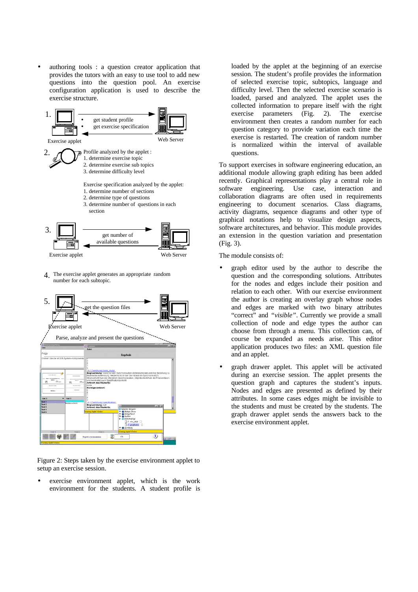authoring tools : a question creator application that provides the tutors with an easy to use tool to add new questions into the question pool. An exercise configuration application is used to describe the exercise structure.



The exercise applet generates an appropriate random 4. number for each subtopic.



Figure 2: Steps taken by the exercise environment applet to setup an exercise session.

exercise environment applet, which is the work environment for the students. A student profile is loaded by the applet at the beginning of an exercise session. The student's profile provides the information of selected exercise topic, subtopics, language and difficulty level. Then the selected exercise scenario is loaded, parsed and analyzed. The applet uses the collected information to prepare itself with the right exercise parameters (Fig. 2). The exercise environment then creates a random number for each question category to provide variation each time the exercise is restarted. The creation of random number is normalized within the interval of available questions.

To support exercises in software engineering education, an additional module allowing graph editing has been added recently. Graphical representations play a central role in software engineering. Use case, interaction and collaboration diagrams are often used in requirements engineering to document scenarios. Class diagrams, activity diagrams, sequence diagrams and other type of graphical notations help to visualize design aspects, software architectures, and behavior. This module provides an extension in the question variation and presentation (Fig. 3).

The module consists of:

- graph editor used by the author to describe the question and the corresponding solutions. Attributes for the nodes and edges include their position and relation to each other. With our exercise environment the author is creating an overlay graph whose nodes and edges are marked with two binary attributes "correct" and *"visible"*. Currently we provide a small collection of node and edge types the author can choose from through a menu. This collection can, of course be expanded as needs arise. This editor application produces two files: an XML question file and an applet.
- graph drawer applet. This applet will be activated during an exercise session. The applet presents the question graph and captures the student's inputs. Nodes and edges are presented as defined by their attributes. In some cases edges might be invisible to the students and must be created by the students. The graph drawer applet sends the answers back to the exercise environment applet.